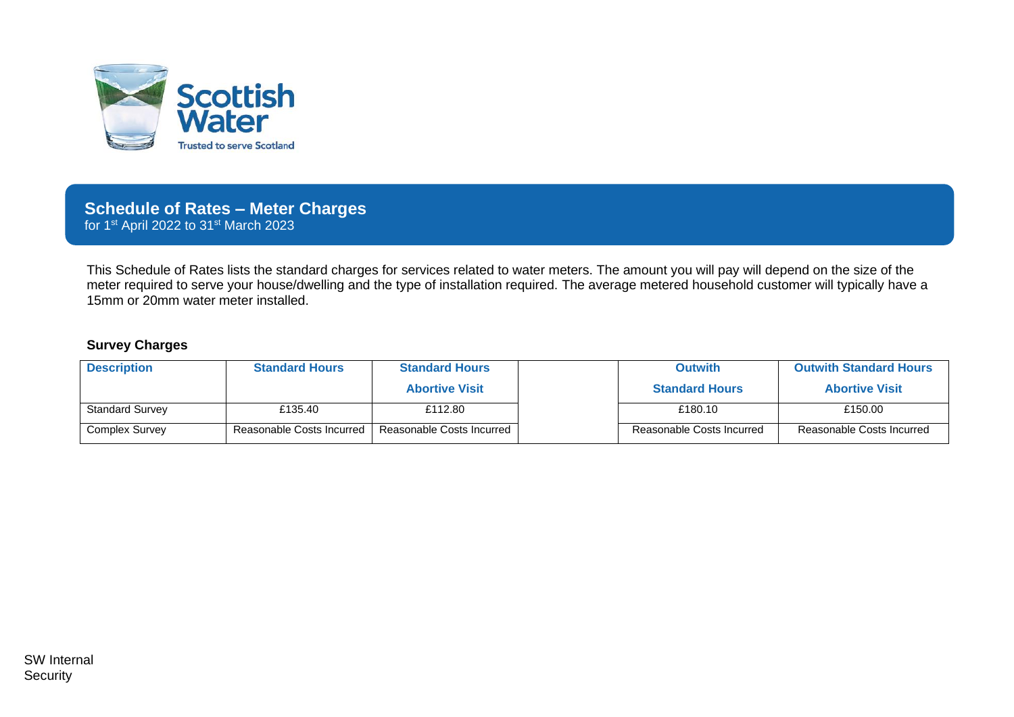

**Schedule of Rates – Meter Charges**  for 1st April 2022 to 31st March 2023

This Schedule of Rates lists the standard charges for services related to water meters. The amount you will pay will depend on the size of the meter required to serve your house/dwelling and the type of installation required. The average metered household customer will typically have a 15mm or 20mm water meter installed.

## **Survey Charges**

| <b>Description</b>     | <b>Standard Hours</b>     | <b>Standard Hours</b>     | <b>Outwith</b>            | <b>Outwith Standard Hours</b> |
|------------------------|---------------------------|---------------------------|---------------------------|-------------------------------|
|                        |                           | <b>Abortive Visit</b>     | <b>Standard Hours</b>     | <b>Abortive Visit</b>         |
| <b>Standard Survey</b> | £135.40                   | £112.80                   | £180.10                   | £150.00                       |
| Complex Survey         | Reasonable Costs Incurred | Reasonable Costs Incurred | Reasonable Costs Incurred | Reasonable Costs Incurred     |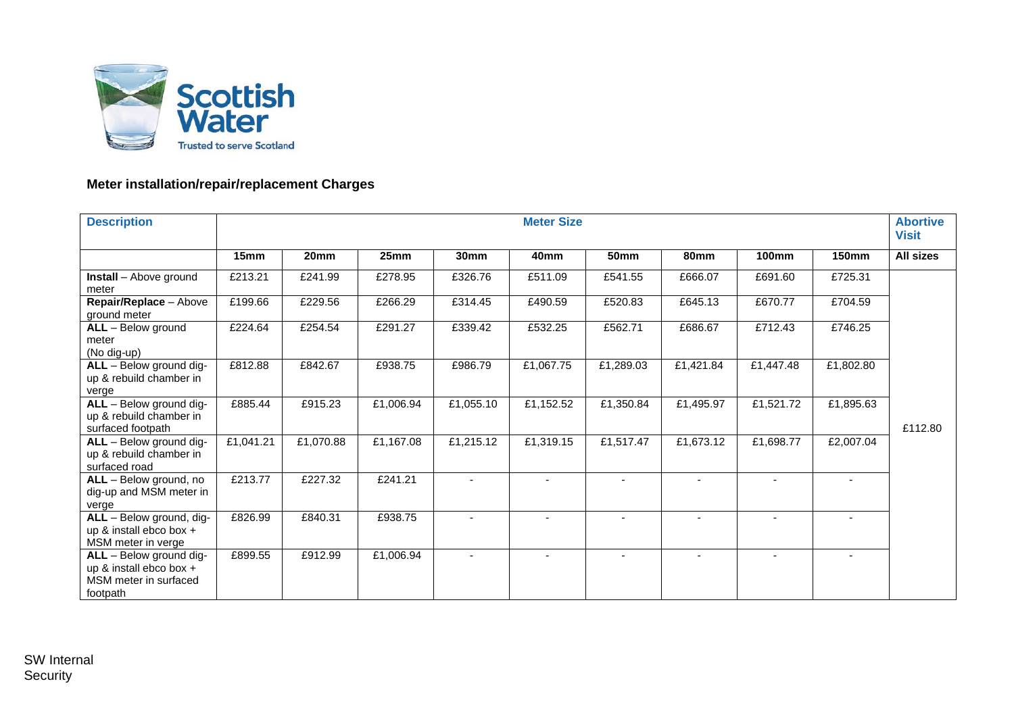

## **Meter installation/repair/replacement Charges**

| <b>Description</b>                                                                      | <b>Meter Size</b> |           |                  |                          |                  |                          |                  |              |              | <b>Abortive</b><br><b>Visit</b> |
|-----------------------------------------------------------------------------------------|-------------------|-----------|------------------|--------------------------|------------------|--------------------------|------------------|--------------|--------------|---------------------------------|
|                                                                                         | 15 <sub>mm</sub>  | 20mm      | 25 <sub>mm</sub> | <b>30mm</b>              | 40 <sub>mm</sub> | <b>50mm</b>              | 80 <sub>mm</sub> | <b>100mm</b> | <b>150mm</b> | All sizes                       |
| <b>Install</b> - Above ground<br>meter                                                  | £213.21           | £241.99   | £278.95          | £326.76                  | £511.09          | £541.55                  | £666.07          | £691.60      | £725.31      |                                 |
| Repair/Replace - Above<br>ground meter                                                  | £199.66           | £229.56   | £266.29          | £314.45                  | £490.59          | £520.83                  | £645.13          | £670.77      | £704.59      |                                 |
| ALL - Below ground<br>meter<br>(No dig-up)                                              | £224.64           | £254.54   | £291.27          | £339.42                  | £532.25          | £562.71                  | £686.67          | £712.43      | £746.25      |                                 |
| ALL - Below ground dig-<br>up & rebuild chamber in<br>verge                             | £812.88           | £842.67   | £938.75          | £986.79                  | £1,067.75        | £1,289.03                | £1,421.84        | £1,447.48    | £1,802.80    |                                 |
| ALL - Below ground dig-<br>up & rebuild chamber in<br>surfaced footpath                 | £885.44           | £915.23   | £1,006.94        | £1,055.10                | £1,152.52        | £1,350.84                | £1,495.97        | £1,521.72    | £1,895.63    | £112.80                         |
| ALL - Below ground dig-<br>up & rebuild chamber in<br>surfaced road                     | £1,041.21         | £1,070.88 | £1,167.08        | £1,215.12                | £1,319.15        | £1,517.47                | £1,673.12        | £1,698.77    | £2,007.04    |                                 |
| ALL - Below ground, no<br>dig-up and MSM meter in<br>verge                              | £213.77           | £227.32   | £241.21          |                          |                  | $\overline{a}$           |                  |              |              |                                 |
| ALL - Below ground, dig-<br>up & install ebco box +<br>MSM meter in verge               | £826.99           | £840.31   | £938.75          |                          |                  |                          |                  |              |              |                                 |
| ALL - Below ground dig-<br>up & install ebco box +<br>MSM meter in surfaced<br>footpath | £899.55           | £912.99   | £1,006.94        | $\overline{\phantom{a}}$ |                  | $\overline{\phantom{a}}$ | ٠                |              |              |                                 |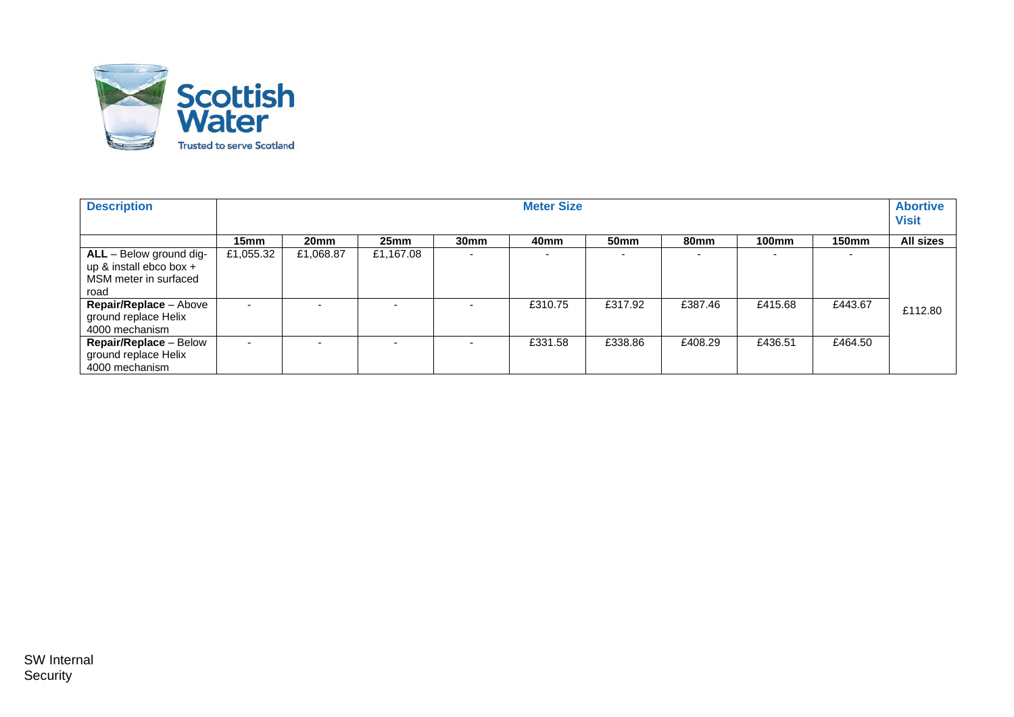

| <b>Description</b>                                                                  | <b>Meter Size</b>        |                          |                  |                          |         |             |             |              |              | <b>Abortive</b><br><b>Visit</b> |
|-------------------------------------------------------------------------------------|--------------------------|--------------------------|------------------|--------------------------|---------|-------------|-------------|--------------|--------------|---------------------------------|
|                                                                                     | 15mm                     | 20 <sub>mm</sub>         | 25 <sub>mm</sub> | 30 <sub>mm</sub>         | 40mm    | <b>50mm</b> | <b>80mm</b> | <b>100mm</b> | <b>150mm</b> | All sizes                       |
| ALL - Below ground dig-<br>up & install ebco box +<br>MSM meter in surfaced<br>road | £1,055.32                | £1,068.87                | £1,167.08        | $\overline{\phantom{a}}$ |         |             |             |              |              |                                 |
| Repair/Replace - Above<br>ground replace Helix<br>4000 mechanism                    | $\overline{\phantom{0}}$ | $\overline{\phantom{0}}$ |                  | ۰                        | £310.75 | £317.92     | £387.46     | £415.68      | £443.67      | £112.80                         |
| Repair/Replace - Below<br>ground replace Helix<br>4000 mechanism                    | $\overline{\phantom{0}}$ | $\overline{\phantom{a}}$ |                  |                          | £331.58 | £338.86     | £408.29     | £436.51      | £464.50      |                                 |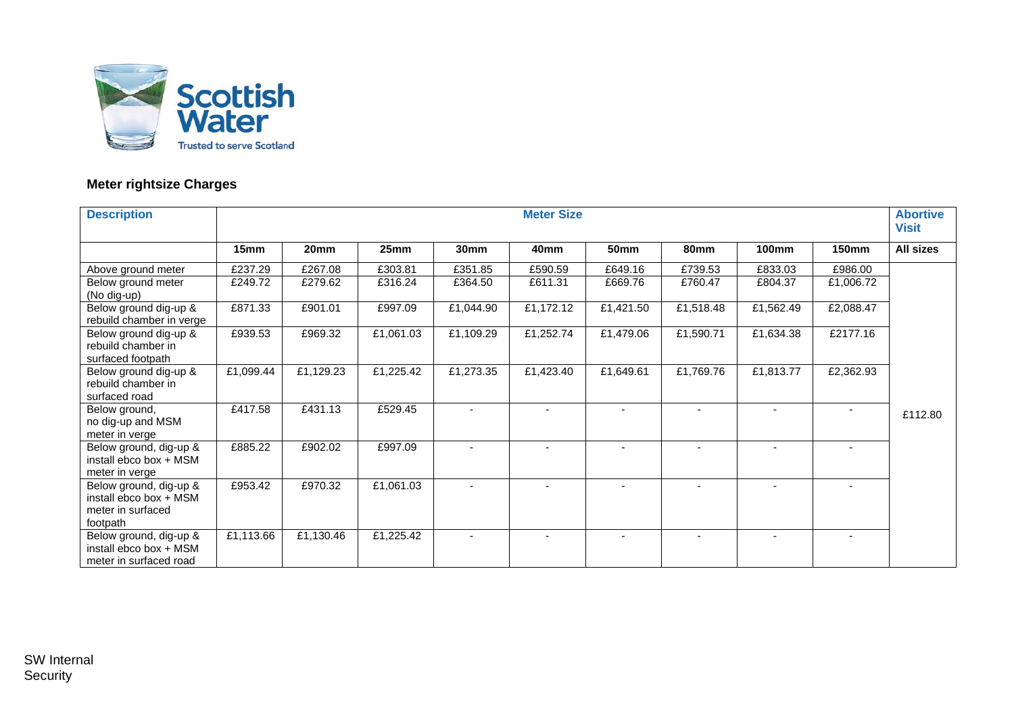

## **Meter rightsize Charges**

| <b>Description</b>                                                                | <b>Meter Size</b> |           |           |           |           |                          |             |              |              | <b>Abortive</b><br><b>Visit</b> |
|-----------------------------------------------------------------------------------|-------------------|-----------|-----------|-----------|-----------|--------------------------|-------------|--------------|--------------|---------------------------------|
|                                                                                   | 15mm              | 20mm      | 25mm      | 30mm      | 40mm      | <b>50mm</b>              | <b>80mm</b> | <b>100mm</b> | <b>150mm</b> | All sizes                       |
| Above ground meter                                                                | £237.29           | £267.08   | £303.81   | £351.85   | £590.59   | £649.16                  | £739.53     | £833.03      | £986.00      |                                 |
| Below ground meter<br>(No dig-up)                                                 | £249.72           | £279.62   | £316.24   | £364.50   | £611.31   | £669.76                  | £760.47     | £804.37      | £1,006.72    |                                 |
| Below ground dig-up &<br>rebuild chamber in verge                                 | £871.33           | £901.01   | £997.09   | £1,044.90 | £1,172.12 | £1,421.50                | £1,518.48   | £1,562.49    | £2,088.47    |                                 |
| Below ground dig-up &<br>rebuild chamber in<br>surfaced footpath                  | £939.53           | £969.32   | £1,061.03 | £1,109.29 | £1,252.74 | £1,479.06                | £1,590.71   | £1,634.38    | £2177.16     |                                 |
| Below ground dig-up &<br>rebuild chamber in<br>surfaced road                      | £1,099.44         | £1,129.23 | £1,225.42 | £1,273.35 | £1,423.40 | £1,649.61                | £1,769.76   | £1,813.77    | £2,362.93    |                                 |
| Below ground,<br>no dig-up and MSM<br>meter in verge                              | £417.58           | £431.13   | £529.45   |           |           | $\overline{\phantom{a}}$ |             |              |              | £112.80                         |
| Below ground, dig-up &<br>install ebco box + MSM<br>meter in verge                | £885.22           | £902.02   | £997.09   |           |           |                          |             |              |              |                                 |
| Below ground, dig-up &<br>install ebco box + MSM<br>meter in surfaced<br>footpath | £953.42           | £970.32   | £1,061.03 |           |           | $\blacksquare$           |             |              |              |                                 |
| Below ground, dig-up &<br>install ebco box + MSM<br>meter in surfaced road        | £1,113.66         | £1,130.46 | £1,225.42 |           |           | $\overline{\phantom{a}}$ |             |              |              |                                 |